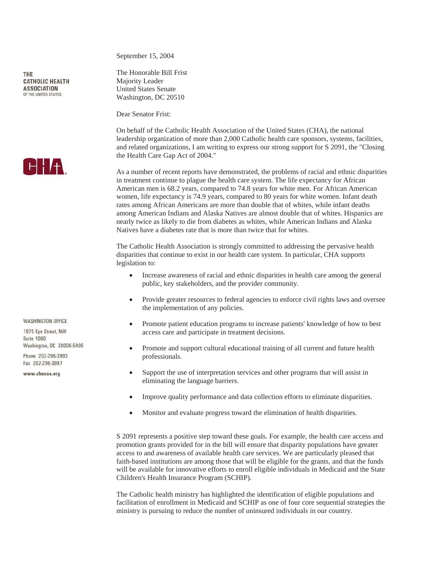THE **CATHOLIC HEALTH ASSOCIATION** OF THE UNITED STATES



**WASHINGTON OFFICE** 

1875 Eve Street NW **Suite 1000** Washington, DC 20006-5409

Phone 202-296-3993 Fax 202-296-3997

www.chausa.org

September 15, 2004

The Honorable Bill Frist Majority Leader United States Senate Washington, DC 20510

Dear Senator Frist:

On behalf of the Catholic Health Association of the United States (CHA), the national leadership organization of more than 2,000 Catholic health care sponsors, systems, facilities, and related organizations, I am writing to express our strong support for S 2091, the "Closing the Health Care Gap Act of 2004."

As a number of recent reports have demonstrated, the problems of racial and ethnic disparities in treatment continue to plague the health care system. The life expectancy for African American men is 68.2 years, compared to 74.8 years for white men. For African American women, life expectancy is 74.9 years, compared to 80 years for white women. Infant death rates among African Americans are more than double that of whites, while infant deaths among American Indians and Alaska Natives are almost double that of whites. Hispanics are nearly twice as likely to die from diabetes as whites, while American Indians and Alaska Natives have a diabetes rate that is more than twice that for whites.

The Catholic Health Association is strongly committed to addressing the pervasive health disparities that continue to exist in our health care system. In particular, CHA supports legislation to:

- Increase awareness of racial and ethnic disparities in health care among the general public, key stakeholders, and the provider community.
- Provide greater resources to federal agencies to enforce civil rights laws and oversee the implementation of any policies.
- Promote patient education programs to increase patients' knowledge of how to best access care and participate in treatment decisions.
- Promote and support cultural educational training of all current and future health professionals.
- Support the use of interpretation services and other programs that will assist in eliminating the language barriers.
- Improve quality performance and data collection efforts to eliminate disparities.
- Monitor and evaluate progress toward the elimination of health disparities.

S 2091 represents a positive step toward these goals. For example, the health care access and promotion grants provided for in the bill will ensure that disparity populations have greater access to and awareness of available health care services. We are particularly pleased that faith-based institutions are among those that will be eligible for the grants, and that the funds will be available for innovative efforts to enroll eligible individuals in Medicaid and the State Children's Health Insurance Program (SCHIP).

The Catholic health ministry has highlighted the identification of eligible populations and facilitation of enrollment in Medicaid and SCHIP as one of four core sequential strategies the ministry is pursuing to reduce the number of uninsured individuals in our country.